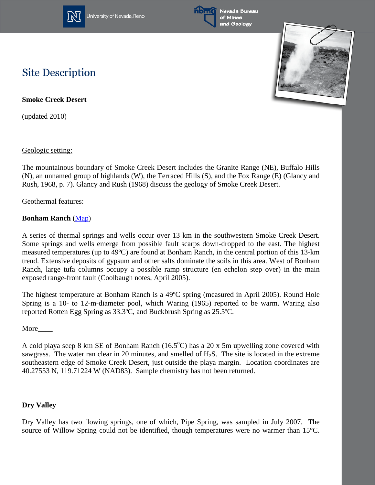

University of Nevada, Reno



Nevada Bureau of Mines and Geology



# **Site Description**

**Smoke Creek Desert**

(updated 2010)

Geologic setting:

The mountainous boundary of Smoke Creek Desert includes the Granite Range (NE), Buffalo Hills (N), an unnamed group of highlands (W), the Terraced Hills (S), and the Fox Range (E) (Glancy and Rush, 1968, p. 7). Glancy and Rush (1968) discuss the geology of Smoke Creek Desert.

Geothermal features:

### **Bonham Ranch** [\(Map\)](http://www.nbmg.unr.edu/geothermal/detailedmaps/Smoke%20Creek%20Desert.pdf)

A series of thermal springs and wells occur over 13 km in the southwestern Smoke Creek Desert. Some springs and wells emerge from possible fault scarps down-dropped to the east. The highest measured temperatures (up to 49ºC) are found at Bonham Ranch, in the central portion of this 13-km trend. Extensive deposits of gypsum and other salts dominate the soils in this area. West of Bonham Ranch, large tufa columns occupy a possible ramp structure (en echelon step over) in the main exposed range-front fault (Coolbaugh notes, April 2005).

The highest temperature at Bonham Ranch is a 49ºC spring (measured in April 2005). Round Hole Spring is a 10- to 12-m-diameter pool, which Waring (1965) reported to be warm. Waring also reported Rotten Egg Spring as 33.3ºC, and Buckbrush Spring as 25.5ºC.

More\_\_\_\_

A cold playa seep 8 km SE of Bonham Ranch  $(16.5^{\circ}C)$  has a 20 x 5m upwelling zone covered with sawgrass. The water ran clear in 20 minutes, and smelled of H<sub>2</sub>S. The site is located in the extreme southeastern edge of Smoke Creek Desert, just outside the playa margin. Location coordinates are 40.27553 N, 119.71224 W (NAD83). Sample chemistry has not been returned.

### **Dry Valley**

Dry Valley has two flowing springs, one of which, Pipe Spring, was sampled in July 2007. The source of Willow Spring could not be identified, though temperatures were no warmer than 15°C.